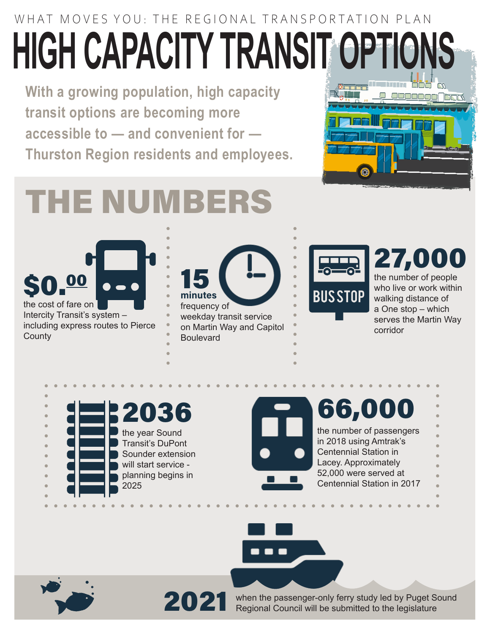## WHAT MOVES YOU: THE REGIONAL TRANSPORTATION PLAN **HIGH CAPACITY TRANSIT OPTION**

**With a growing population, high capacity transit options are becoming more accessible to — and convenient for — Thurston Region residents and employees.**



# THE NUMBERS

\$0.00 the cost of fare on

Intercity Transit's system – including express routes to Pierce **County** 



on Martin Way and Capitol **Boulevard** 



### 27,000

the number of people who live or work within walking distance of a One stop – which serves the Martin Way corridor



Centennial Station in 2017

#### 66,000 the number of passengers in 2018 using Amtrak's Centennial Station in Lacey. Approximately 52,000 were served at



2021 when the passenger-only ferry study led by Puget Sound<br>Regional Council will be submitted to the legislature Regional Council will be submitted to the legislature